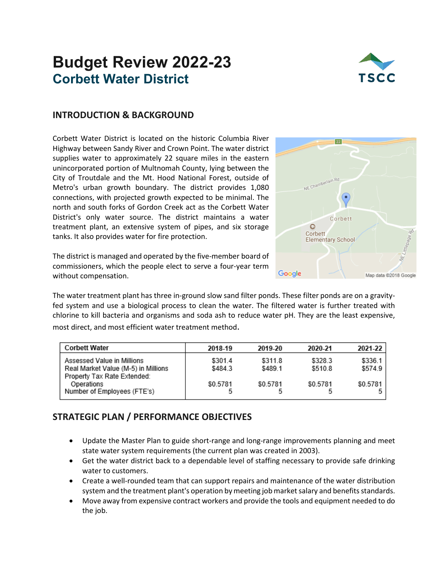# **Budget Review 2022-23 Corbett Water District**



### **INTRODUCTION & BACKGROUND**

Corbett Water District is located on the historic Columbia River Highway between Sandy River and Crown Point. The water district supplies water to approximately 22 square miles in the eastern unincorporated portion of Multnomah County, lying between the City of Troutdale and the Mt. Hood National Forest, outside of Metro's urban growth boundary. The district provides 1,080 connections, with projected growth expected to be minimal. The north and south forks of Gordon Creek act as the Corbett Water District's only water source. The district maintains a water treatment plant, an extensive system of pipes, and six storage tanks. It also provides water for fire protection.

The district is managed and operated by the five-member board of commissioners, which the people elect to serve a four-year term without compensation.

The water treatment plant has three in-ground slow sand filter ponds. These filter ponds are on a gravityfed system and use a biological process to clean the water. The filtered water is further treated with chlorine to kill bacteria and organisms and soda ash to reduce water pH. They are the least expensive, most direct, and most efficient water treatment method.

| <b>Corbett Water</b>                                                                             | 2018-19            | 2019-20            | 2020-21            | 2021-22            |
|--------------------------------------------------------------------------------------------------|--------------------|--------------------|--------------------|--------------------|
| Assessed Value in Millions<br>Real Market Value (M-5) in Millions<br>Property Tax Rate Extended: | \$301.4<br>\$484.3 | \$311.8<br>\$489.1 | \$328.3<br>\$510.8 | \$336.1<br>\$574.9 |
| Operations<br>Number of Employees (FTE's)                                                        | \$0.5781           | \$0.5781           | \$0.5781           | \$0.5781           |

## **STRATEGIC PLAN / PERFORMANCE OBJECTIVES**

- Update the Master Plan to guide short-range and long-range improvements planning and meet state water system requirements (the current plan was created in 2003).
- Get the water district back to a dependable level of staffing necessary to provide safe drinking water to customers.
- Create a well-rounded team that can support repairs and maintenance of the water distribution system and the treatment plant's operation by meeting job market salary and benefits standards.
- Move away from expensive contract workers and provide the tools and equipment needed to do the job.

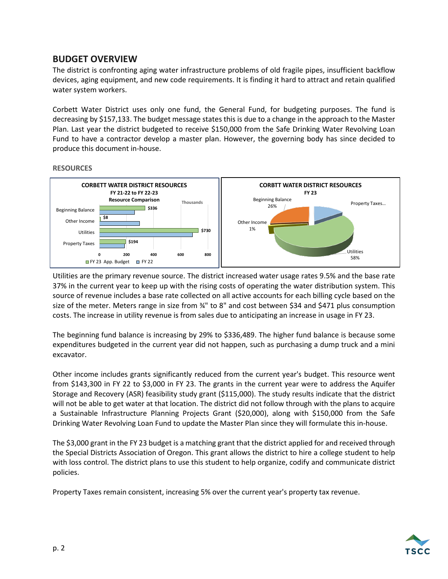## **BUDGET OVERVIEW**

The district is confronting aging water infrastructure problems of old fragile pipes, insufficient backflow devices, aging equipment, and new code requirements. It is finding it hard to attract and retain qualified water system workers.

Corbett Water District uses only one fund, the General Fund, for budgeting purposes. The fund is decreasing by \$157,133. The budget message states this is due to a change in the approach to the Master Plan. Last year the district budgeted to receive \$150,000 from the Safe Drinking Water Revolving Loan Fund to have a contractor develop a master plan. However, the governing body has since decided to produce this document in-house.

#### **RESOURCES**



Utilities are the primary revenue source. The district increased water usage rates 9.5% and the base rate 37% in the current year to keep up with the rising costs of operating the water distribution system. This source of revenue includes a base rate collected on all active accounts for each billing cycle based on the size of the meter. Meters range in size from ¾" to 8" and cost between \$34 and \$471 plus consumption costs. The increase in utility revenue is from sales due to anticipating an increase in usage in FY 23.

The beginning fund balance is increasing by 29% to \$336,489. The higher fund balance is because some expenditures budgeted in the current year did not happen, such as purchasing a dump truck and a mini excavator.

Other income includes grants significantly reduced from the current year's budget. This resource went from \$143,300 in FY 22 to \$3,000 in FY 23. The grants in the current year were to address the Aquifer Storage and Recovery (ASR) feasibility study grant (\$115,000). The study results indicate that the district will not be able to get water at that location. The district did not follow through with the plans to acquire a Sustainable Infrastructure Planning Projects Grant (\$20,000), along with \$150,000 from the Safe Drinking Water Revolving Loan Fund to update the Master Plan since they will formulate this in-house.

The \$3,000 grant in the FY 23 budget is a matching grant that the district applied for and received through the Special Districts Association of Oregon. This grant allows the district to hire a college student to help with loss control. The district plans to use this student to help organize, codify and communicate district policies.

Property Taxes remain consistent, increasing 5% over the current year's property tax revenue.

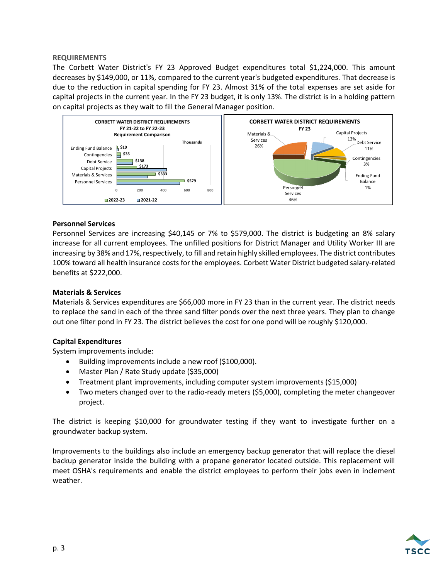#### **REQUIREMENTS**

The Corbett Water District's FY 23 Approved Budget expenditures total \$1,224,000. This amount decreases by \$149,000, or 11%, compared to the current year's budgeted expenditures. That decrease is due to the reduction in capital spending for FY 23. Almost 31% of the total expenses are set aside for capital projects in the current year. In the FY 23 budget, it is only 13%. The district is in a holding pattern on capital projects as they wait to fill the General Manager position.



#### **Personnel Services**

Personnel Services are increasing \$40,145 or 7% to \$579,000. The district is budgeting an 8% salary increase for all current employees. The unfilled positions for District Manager and Utility Worker III are increasing by 38% and 17%, respectively, to fill and retain highly skilled employees. The district contributes 100% toward all health insurance costs for the employees. Corbett Water District budgeted salary-related benefits at \$222,000.

#### **Materials & Services**

Materials & Services expenditures are \$66,000 more in FY 23 than in the current year. The district needs to replace the sand in each of the three sand filter ponds over the next three years. They plan to change out one filter pond in FY 23. The district believes the cost for one pond will be roughly \$120,000.

#### **Capital Expenditures**

System improvements include:

- Building improvements include a new roof (\$100,000).
- Master Plan / Rate Study update (\$35,000)
- Treatment plant improvements, including computer system improvements (\$15,000)
- Two meters changed over to the radio-ready meters (\$5,000), completing the meter changeover project.

The district is keeping \$10,000 for groundwater testing if they want to investigate further on a groundwater backup system.

Improvements to the buildings also include an emergency backup generator that will replace the diesel backup generator inside the building with a propane generator located outside. This replacement will meet OSHA's requirements and enable the district employees to perform their jobs even in inclement weather.

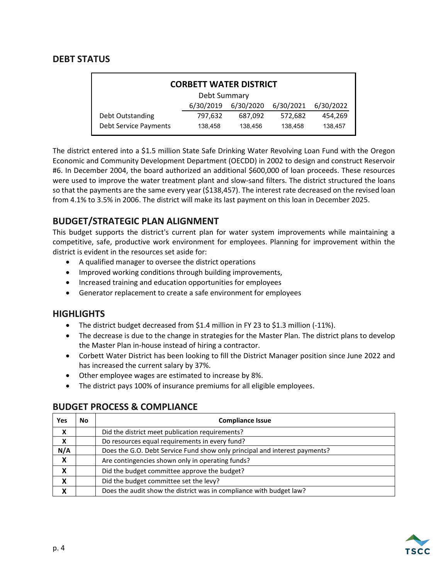## **DEBT STATUS**

| <b>CORBETT WATER DISTRICT</b> |           |           |           |           |  |  |  |
|-------------------------------|-----------|-----------|-----------|-----------|--|--|--|
| Debt Summary                  |           |           |           |           |  |  |  |
|                               | 6/30/2019 | 6/30/2020 | 6/30/2021 | 6/30/2022 |  |  |  |
| Debt Outstanding              | 797,632   | 687,092   | 572,682   | 454,269   |  |  |  |
| <b>Debt Service Payments</b>  | 138,458   | 138.456   | 138.458   | 138,457   |  |  |  |

The district entered into a \$1.5 million State Safe Drinking Water Revolving Loan Fund with the Oregon Economic and Community Development Department (OECDD) in 2002 to design and construct Reservoir #6. In December 2004, the board authorized an additional \$600,000 of loan proceeds. These resources were used to improve the water treatment plant and slow-sand filters. The district structured the loans so that the payments are the same every year (\$138,457). The interest rate decreased on the revised loan from 4.1% to 3.5% in 2006. The district will make its last payment on this loan in December 2025.

## **BUDGET/STRATEGIC PLAN ALIGNMENT**

This budget supports the district's current plan for water system improvements while maintaining a competitive, safe, productive work environment for employees. Planning for improvement within the district is evident in the resources set aside for:

- A qualified manager to oversee the district operations
- Improved working conditions through building improvements,
- Increased training and education opportunities for employees
- Generator replacement to create a safe environment for employees

### **HIGHLIGHTS**

- The district budget decreased from \$1.4 million in FY 23 to \$1.3 million (-11%).
- The decrease is due to the change in strategies for the Master Plan. The district plans to develop the Master Plan in-house instead of hiring a contractor.
- Corbett Water District has been looking to fill the District Manager position since June 2022 and has increased the current salary by 37%.
- Other employee wages are estimated to increase by 8%.
- The district pays 100% of insurance premiums for all eligible employees.

# **BUDGET PROCESS & COMPLIANCE**

| Yes                       | No | <b>Compliance Issue</b>                                                    |
|---------------------------|----|----------------------------------------------------------------------------|
| X                         |    | Did the district meet publication requirements?                            |
| X                         |    | Do resources equal requirements in every fund?                             |
| N/A                       |    | Does the G.O. Debt Service Fund show only principal and interest payments? |
| $\boldsymbol{\mathsf{X}}$ |    | Are contingencies shown only in operating funds?                           |
| X                         |    | Did the budget committee approve the budget?                               |
| X                         |    | Did the budget committee set the levy?                                     |
| X                         |    | Does the audit show the district was in compliance with budget law?        |

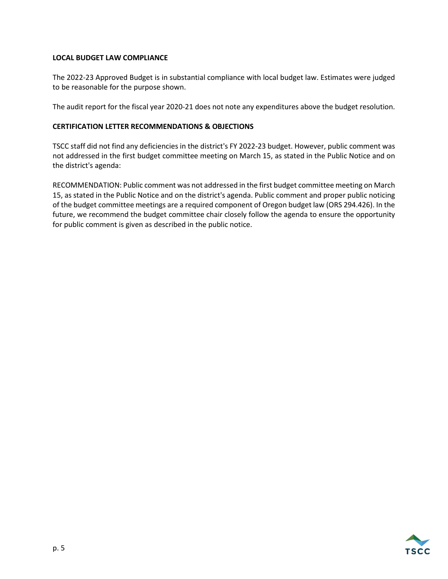#### **LOCAL BUDGET LAW COMPLIANCE**

The 2022-23 Approved Budget is in substantial compliance with local budget law. Estimates were judged to be reasonable for the purpose shown.

The audit report for the fiscal year 2020-21 does not note any expenditures above the budget resolution.

#### **CERTIFICATION LETTER RECOMMENDATIONS & OBJECTIONS**

TSCC staff did not find any deficiencies in the district's FY 2022-23 budget. However, public comment was not addressed in the first budget committee meeting on March 15, as stated in the Public Notice and on the district's agenda:

RECOMMENDATION: Public comment was not addressed in the first budget committee meeting on March 15, as stated in the Public Notice and on the district's agenda. Public comment and proper public noticing of the budget committee meetings are a required component of Oregon budget law (ORS 294.426). In the future, we recommend the budget committee chair closely follow the agenda to ensure the opportunity for public comment is given as described in the public notice.